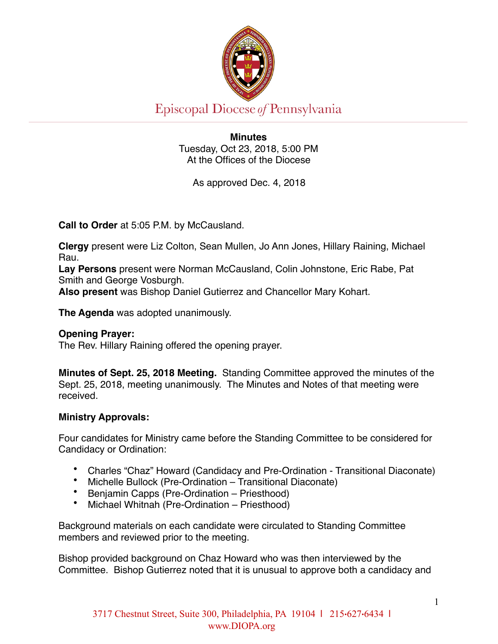

# Episcopal Diocese of Pennsylvania

**Minutes**  Tuesday, Oct 23, 2018, 5:00 PM At the Offices of the Diocese

As approved Dec. 4, 2018

**Call to Order** at 5:05 P.M. by McCausland.

**Clergy** present were Liz Colton, Sean Mullen, Jo Ann Jones, Hillary Raining, Michael Rau.

**Lay Persons** present were Norman McCausland, Colin Johnstone, Eric Rabe, Pat Smith and George Vosburgh.

**Also present** was Bishop Daniel Gutierrez and Chancellor Mary Kohart.

**The Agenda** was adopted unanimously.

### **Opening Prayer:**

The Rev. Hillary Raining offered the opening prayer.

**Minutes of Sept. 25, 2018 Meeting.** Standing Committee approved the minutes of the Sept. 25, 2018, meeting unanimously. The Minutes and Notes of that meeting were received.

### **Ministry Approvals:**

Four candidates for Ministry came before the Standing Committee to be considered for Candidacy or Ordination:

- Charles "Chaz" Howard (Candidacy and Pre-Ordination Transitional Diaconate)
- Michelle Bullock (Pre-Ordination Transitional Diaconate)
- Benjamin Capps (Pre-Ordination Priesthood)
- Michael Whitnah (Pre-Ordination Priesthood)

Background materials on each candidate were circulated to Standing Committee members and reviewed prior to the meeting.

Bishop provided background on Chaz Howard who was then interviewed by the Committee. Bishop Gutierrez noted that it is unusual to approve both a candidacy and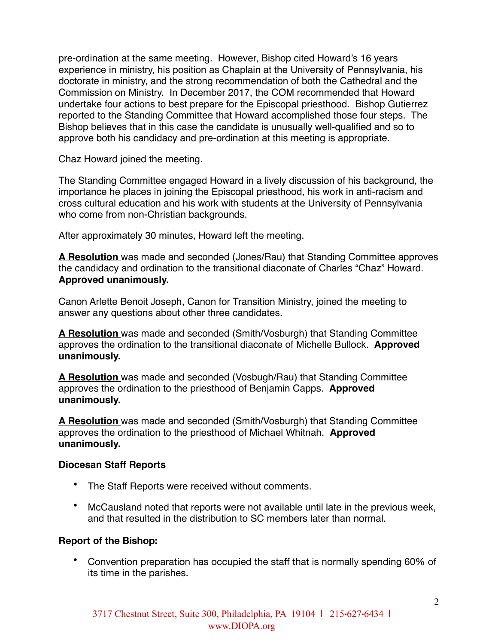pre-ordination at the same meeting. However, Bishop cited Howard's 16 years experience in ministry, his position as Chaplain at the University of Pennsylvania, his doctorate in ministry, and the strong recommendation of both the Cathedral and the Commission on Ministry. In December 2017, the COM recommended that Howard undertake four actions to best prepare for the Episcopal priesthood. Bishop Gutierrez reported to the Standing Committee that Howard accomplished those four steps. The Bishop believes that in this case the candidate is unusually well-qualified and so to approve both his candidacy and pre-ordination at this meeting is appropriate.

Chaz Howard joined the meeting.

The Standing Committee engaged Howard in a lively discussion of his background, the importance he places in joining the Episcopal priesthood, his work in anti-racism and cross cultural education and his work with students at the University of Pennsylvania who come from non-Christian backgrounds.

After approximately 30 minutes, Howard left the meeting.

**A Resolution** was made and seconded (Jones/Rau) that Standing Committee approves the candidacy and ordination to the transitional diaconate of Charles "Chaz" Howard. **Approved unanimously.**

Canon Arlette Benoit Joseph, Canon for Transition Ministry, joined the meeting to answer any questions about other three candidates.

**A Resolution** was made and seconded (Smith/Vosburgh) that Standing Committee approves the ordination to the transitional diaconate of Michelle Bullock. **Approved unanimously.**

**A Resolution** was made and seconded (Vosbugh/Rau) that Standing Committee approves the ordination to the priesthood of Benjamin Capps. **Approved unanimously.**

**A Resolution** was made and seconded (Smith/Vosburgh) that Standing Committee approves the ordination to the priesthood of Michael Whitnah. **Approved unanimously.**

### **Diocesan Staff Reports**

- The Staff Reports were received without comments.
- McCausland noted that reports were not available until late in the previous week, and that resulted in the distribution to SC members later than normal.

## **Report of the Bishop:**

• Convention preparation has occupied the staff that is normally spending 60% of its time in the parishes.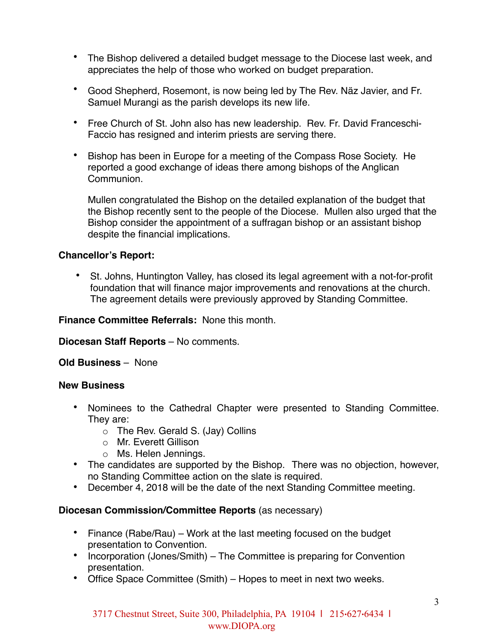- The Bishop delivered a detailed budget message to the Diocese last week, and appreciates the help of those who worked on budget preparation.
- Good Shepherd, Rosemont, is now being led by The Rev. Näz Javier, and Fr. Samuel Murangi as the parish develops its new life.
- Free Church of St. John also has new leadership. Rev. Fr. David Franceschi-Faccio has resigned and interim priests are serving there.
- Bishop has been in Europe for a meeting of the Compass Rose Society. He reported a good exchange of ideas there among bishops of the Anglican Communion.

Mullen congratulated the Bishop on the detailed explanation of the budget that the Bishop recently sent to the people of the Diocese. Mullen also urged that the Bishop consider the appointment of a suffragan bishop or an assistant bishop despite the financial implications.

## **Chancellor's Report:**

• St. Johns, Huntington Valley, has closed its legal agreement with a not-for-profit foundation that will finance major improvements and renovations at the church. The agreement details were previously approved by Standing Committee.

**Finance Committee Referrals:** None this month.

**Diocesan Staff Reports** – No comments.

**Old Business** – None

### **New Business**

- Nominees to the Cathedral Chapter were presented to Standing Committee. They are:
	- o The Rev. Gerald S. (Jay) Collins
	- o Mr. Everett Gillison
	- o Ms. Helen Jennings.
- The candidates are supported by the Bishop. There was no objection, however, no Standing Committee action on the slate is required.
- December 4, 2018 will be the date of the next Standing Committee meeting.

## **Diocesan Commission/Committee Reports** (as necessary)

- Finance (Rabe/Rau) Work at the last meeting focused on the budget presentation to Convention.
- Incorporation (Jones/Smith) The Committee is preparing for Convention presentation.
- Office Space Committee (Smith) Hopes to meet in next two weeks.